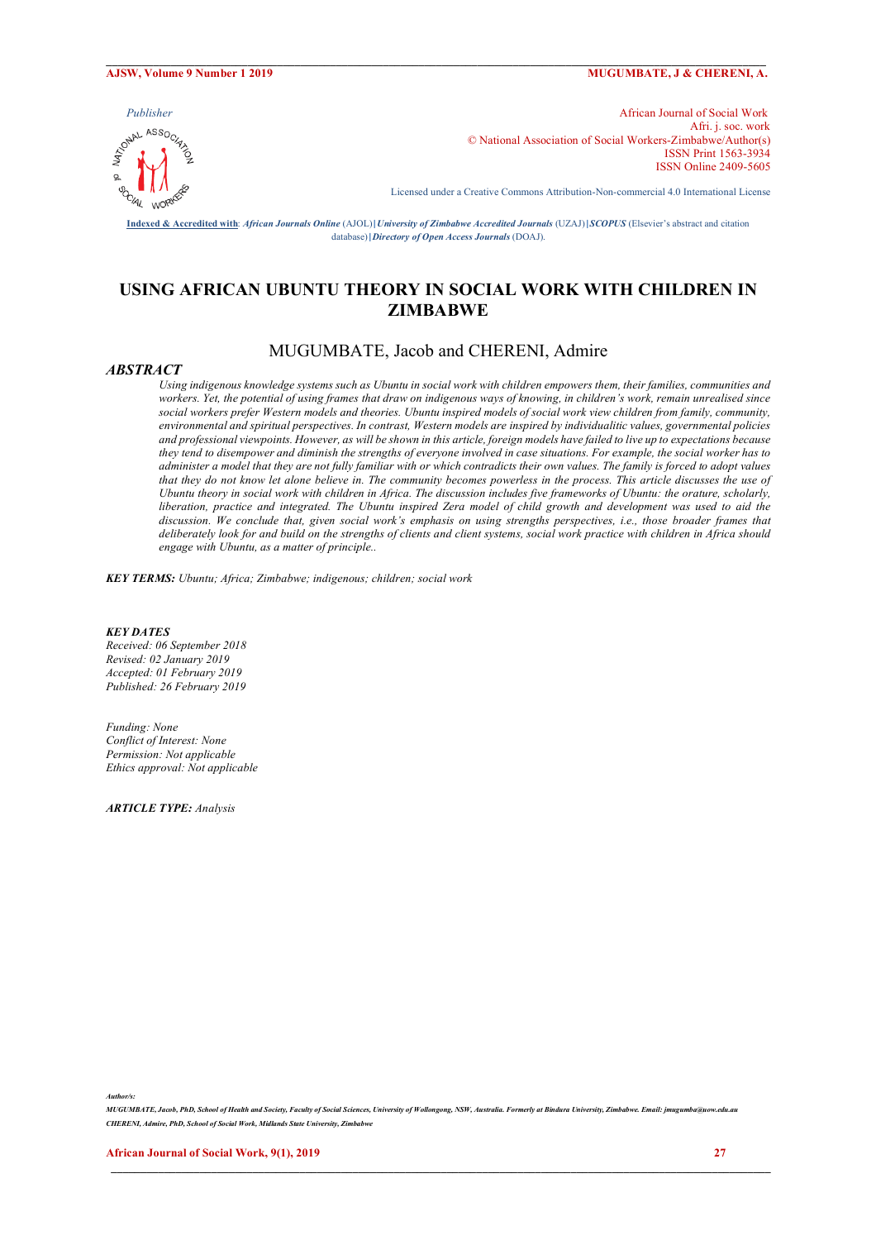#### **AJSW, Volume 9 Number 1 2019 MUGUMBATE, J & CHERENI, A.**



*Publisher* African Journal of Social Work<br>African Journal of Social Work<br>  $\frac{1}{2}$ <br>  $\frac{1}{2}$ <br>  $\frac{1}{2}$ <br>  $\frac{1}{2}$ <br>  $\frac{1}{2}$ Afri. j. soc. work © National Association of Social Workers-Zimbabwe/Author(s) ISSN Print 1563-3934 ISSN Online 2409-5605

Licensed under a Creative Commons Attribution-Non-commercial 4.0 International License

**Indexed & Accredited with**: *African Journals Online* (AJOL)**|***University of Zimbabwe Accredited Journals* (UZAJ)**|***SCOPUS* (Elsevier's abstract and citation database)**|***Directory of Open Access Journals* (DOAJ).

 $\mathcal{L} = \{ \mathcal{L} = \{ \mathcal{L} = \{ \mathcal{L} = \{ \mathcal{L} = \{ \mathcal{L} = \{ \mathcal{L} = \{ \mathcal{L} = \{ \mathcal{L} = \{ \mathcal{L} = \{ \mathcal{L} = \{ \mathcal{L} = \{ \mathcal{L} = \{ \mathcal{L} = \{ \mathcal{L} = \{ \mathcal{L} = \{ \mathcal{L} = \{ \mathcal{L} = \{ \mathcal{L} = \{ \mathcal{L} = \{ \mathcal{L} = \{ \mathcal{L} = \{ \mathcal{L} = \{ \mathcal{L} = \{ \mathcal{$ 

# **USING AFRICAN UBUNTU THEORY IN SOCIAL WORK WITH CHILDREN IN ZIMBABWE**

# MUGUMBATE, Jacob and CHERENI, Admire

## *ABSTRACT*

*Using indigenous knowledge systems such as Ubuntu in social work with children empowers them, their families, communities and workers. Yet, the potential of using frames that draw on indigenous ways of knowing, in children's work, remain unrealised since social workers prefer Western models and theories. Ubuntu inspired models of social work view children from family, community, environmental and spiritual perspectives. In contrast, Western models are inspired by individualitic values, governmental policies and professional viewpoints. However, as will be shown in this article, foreign models have failed to live up to expectations because they tend to disempower and diminish the strengths of everyone involved in case situations. For example, the social worker has to administer a model that they are not fully familiar with or which contradicts their own values. The family is forced to adopt values that they do not know let alone believe in. The community becomes powerless in the process. This article discusses the use of Ubuntu theory in social work with children in Africa. The discussion includes five frameworks of Ubuntu: the orature, scholarly, liberation, practice and integrated. The Ubuntu inspired Zera model of child growth and development was used to aid the discussion. We conclude that, given social work's emphasis on using strengths perspectives, i.e., those broader frames that deliberately look for and build on the strengths of clients and client systems, social work practice with children in Africa should engage with Ubuntu, as a matter of principle..*

*KEY TERMS: Ubuntu; Africa; Zimbabwe; indigenous; children; social work*

# *KEY DATES*

*Received: 06 September 2018 Revised: 02 January 2019 Accepted: 01 February 2019 Published: 26 February 2019*

*Funding: None Conflict of Interest: None Permission: Not applicable Ethics approval: Not applicable*

*ARTICLE TYPE: Analysis*

*Author/s:* 

*MUGUMBATE, Jacob, PhD, School of Health and Society, Faculty of Social Sciences, University of Wollongong, NSW, Australia. Formerly at Bindura University, Zimbabwe. Email: jmugumba@uow.edu.au CHERENI, Admire, PhD, School of Social Work, Midlands State University, Zimbabwe*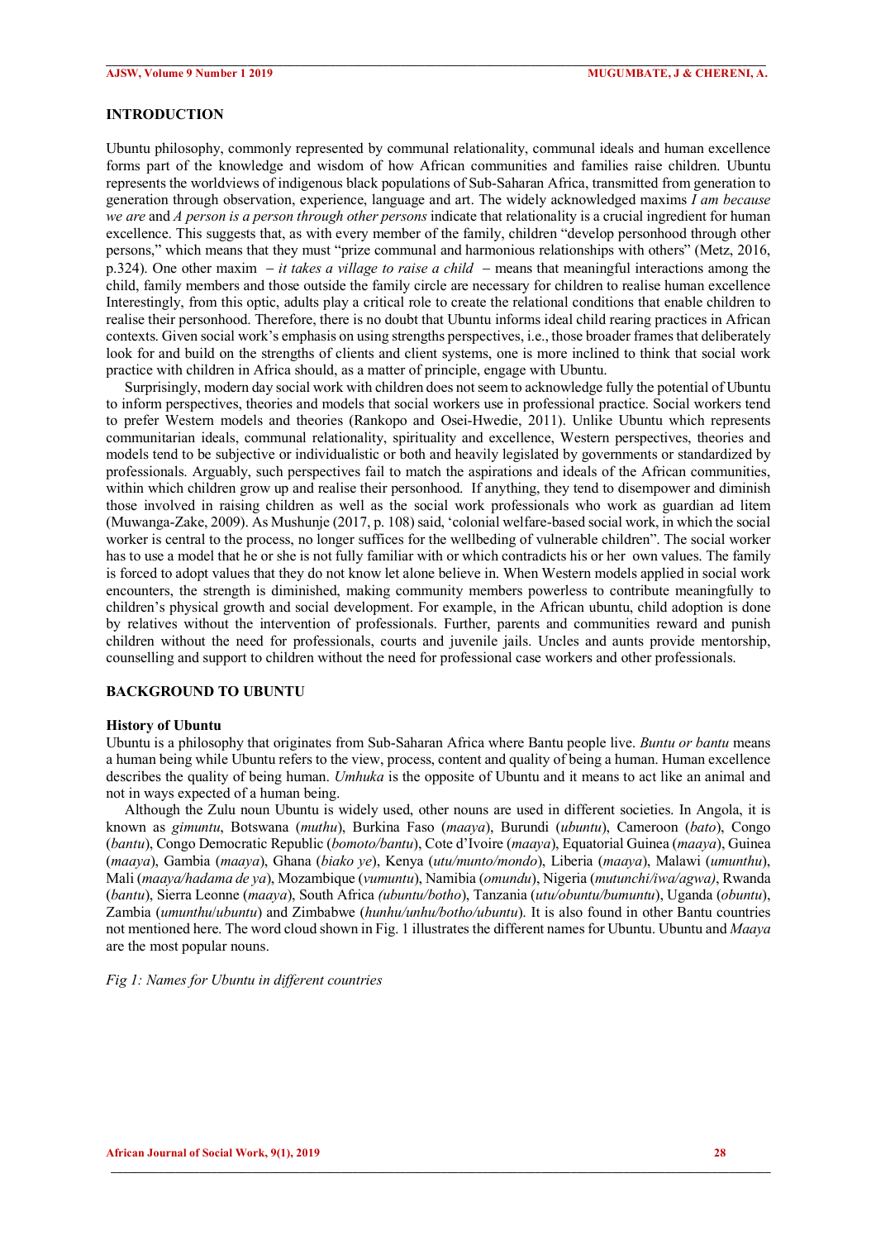### **INTRODUCTION**

Ubuntu philosophy, commonly represented by communal relationality, communal ideals and human excellence forms part of the knowledge and wisdom of how African communities and families raise children. Ubuntu represents the worldviews of indigenous black populations of Sub-Saharan Africa, transmitted from generation to generation through observation, experience, language and art. The widely acknowledged maxims *I am because we are* and *A person is a person through other persons* indicate that relationality is a crucial ingredient for human excellence. This suggests that, as with every member of the family, children "develop personhood through other persons," which means that they must "prize communal and harmonious relationships with others" (Metz, 2016, p.324). One other maxim  $-it$  *takes a village to raise a child*  $-$  means that meaningful interactions among the child, family members and those outside the family circle are necessary for children to realise human excellence Interestingly, from this optic, adults play a critical role to create the relational conditions that enable children to realise their personhood. Therefore, there is no doubt that Ubuntu informs ideal child rearing practices in African contexts. Given social work's emphasis on using strengths perspectives, i.e., those broader frames that deliberately look for and build on the strengths of clients and client systems, one is more inclined to think that social work practice with children in Africa should, as a matter of principle, engage with Ubuntu.

 $\mathcal{L} = \{ \mathcal{L} = \{ \mathcal{L} = \{ \mathcal{L} = \{ \mathcal{L} = \{ \mathcal{L} = \{ \mathcal{L} = \{ \mathcal{L} = \{ \mathcal{L} = \{ \mathcal{L} = \{ \mathcal{L} = \{ \mathcal{L} = \{ \mathcal{L} = \{ \mathcal{L} = \{ \mathcal{L} = \{ \mathcal{L} = \{ \mathcal{L} = \{ \mathcal{L} = \{ \mathcal{L} = \{ \mathcal{L} = \{ \mathcal{L} = \{ \mathcal{L} = \{ \mathcal{L} = \{ \mathcal{L} = \{ \mathcal{$ 

 Surprisingly, modern day social work with children does not seem to acknowledge fully the potential of Ubuntu to inform perspectives, theories and models that social workers use in professional practice. Social workers tend to prefer Western models and theories (Rankopo and Osei-Hwedie, 2011). Unlike Ubuntu which represents communitarian ideals, communal relationality, spirituality and excellence, Western perspectives, theories and models tend to be subjective or individualistic or both and heavily legislated by governments or standardized by professionals. Arguably, such perspectives fail to match the aspirations and ideals of the African communities, within which children grow up and realise their personhood. If anything, they tend to disempower and diminish those involved in raising children as well as the social work professionals who work as guardian ad litem (Muwanga-Zake, 2009). As Mushunje (2017, p. 108) said, 'colonial welfare-based social work, in which the social worker is central to the process, no longer suffices for the wellbeding of vulnerable children". The social worker has to use a model that he or she is not fully familiar with or which contradicts his or her own values. The family is forced to adopt values that they do not know let alone believe in. When Western models applied in social work encounters, the strength is diminished, making community members powerless to contribute meaningfully to children's physical growth and social development. For example, in the African ubuntu, child adoption is done by relatives without the intervention of professionals. Further, parents and communities reward and punish children without the need for professionals, courts and juvenile jails. Uncles and aunts provide mentorship, counselling and support to children without the need for professional case workers and other professionals.

# **BACKGROUND TO UBUNTU**

#### **History of Ubuntu**

Ubuntu is a philosophy that originates from Sub-Saharan Africa where Bantu people live. *Buntu or bantu* means a human being while Ubuntu refers to the view, process, content and quality of being a human. Human excellence describes the quality of being human. *Umhuka* is the opposite of Ubuntu and it means to act like an animal and not in ways expected of a human being.

 Although the Zulu noun Ubuntu is widely used, other nouns are used in different societies. In Angola, it is known as *gimuntu*, Botswana (*muthu*), Burkina Faso (*maaya*), Burundi (*ubuntu*), Cameroon (*bato*), Congo (*bantu*), Congo Democratic Republic (*bomoto/bantu*), Cote d'Ivoire (*maaya*), Equatorial Guinea (*maaya*), Guinea (*maaya*), Gambia (*maaya*), Ghana (*biako ye*), Kenya (*utu/munto/mondo*), Liberia (*maaya*), Malawi (*umunthu*), Mali (*maaya/hadama de ya*), Mozambique (*vumuntu*), Namibia (*omundu*), Nigeria (*mutunchi/iwa/agwa)*, Rwanda (*bantu*), Sierra Leonne (*maaya*), South Africa *(ubuntu/botho*), Tanzania (*utu/obuntu/bumuntu*), Uganda (*obuntu*), Zambia (*umunthu*/*ubuntu*) and Zimbabwe (*hunhu/unhu/botho/ubuntu*). It is also found in other Bantu countries not mentioned here. The word cloud shown in Fig. 1 illustrates the different names for Ubuntu. Ubuntu and *Maaya* are the most popular nouns.

**\_\_\_\_\_\_\_\_\_\_\_\_\_\_\_\_\_\_\_\_\_\_\_\_\_\_\_\_\_\_\_\_\_\_\_\_\_\_\_\_\_\_\_\_\_\_\_\_\_\_\_\_\_\_\_\_\_\_\_\_\_\_\_\_\_\_\_\_\_\_\_\_\_\_\_\_\_\_\_\_\_\_\_\_\_\_\_\_\_\_\_\_\_\_\_\_\_\_\_\_\_\_\_\_\_\_\_\_\_\_\_\_**

# *Fig 1: Names for Ubuntu in different countries*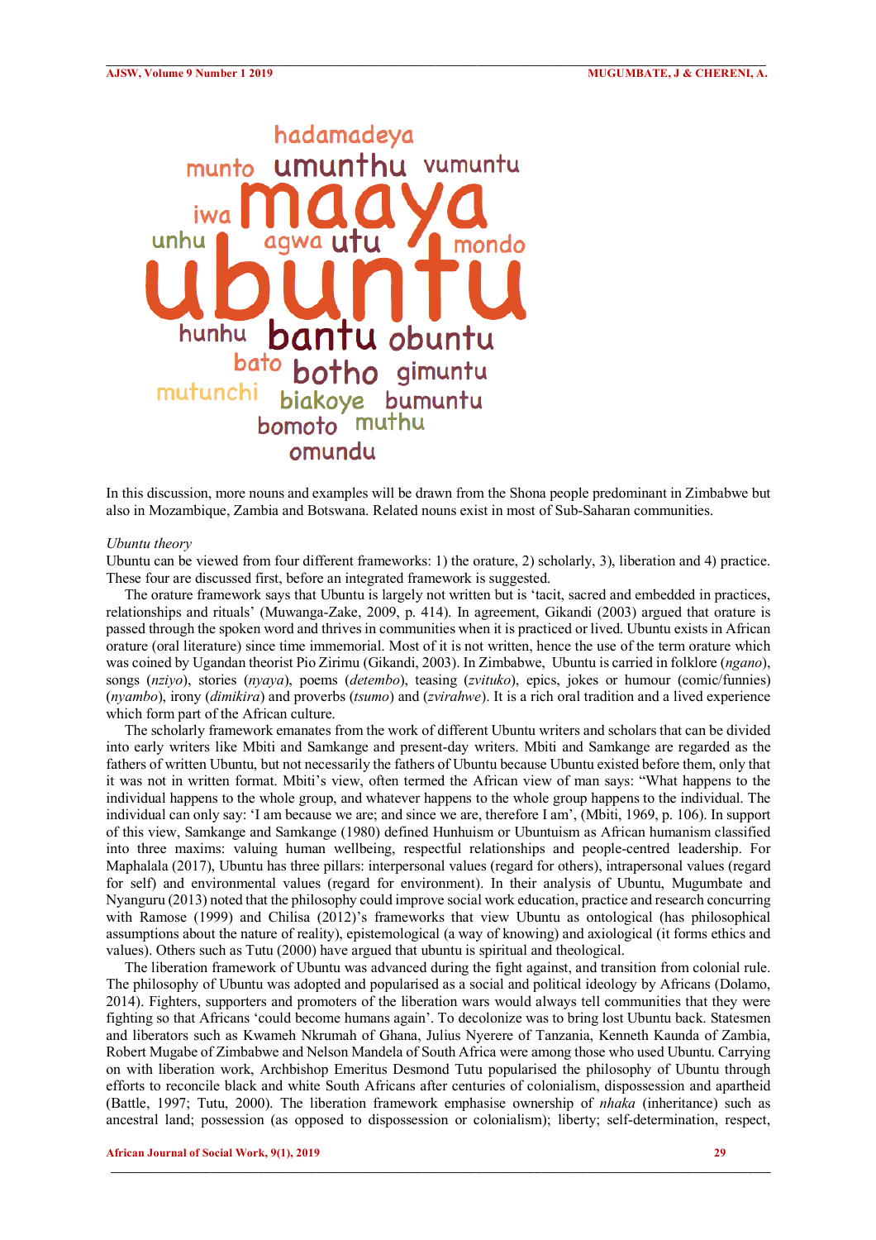

In this discussion, more nouns and examples will be drawn from the Shona people predominant in Zimbabwe but also in Mozambique, Zambia and Botswana. Related nouns exist in most of Sub-Saharan communities.

 $\mathcal{L} = \{ \mathcal{L} = \{ \mathcal{L} = \{ \mathcal{L} = \{ \mathcal{L} = \{ \mathcal{L} = \{ \mathcal{L} = \{ \mathcal{L} = \{ \mathcal{L} = \{ \mathcal{L} = \{ \mathcal{L} = \{ \mathcal{L} = \{ \mathcal{L} = \{ \mathcal{L} = \{ \mathcal{L} = \{ \mathcal{L} = \{ \mathcal{L} = \{ \mathcal{L} = \{ \mathcal{L} = \{ \mathcal{L} = \{ \mathcal{L} = \{ \mathcal{L} = \{ \mathcal{L} = \{ \mathcal{L} = \{ \mathcal{$ 

## *Ubuntu theory*

Ubuntu can be viewed from four different frameworks: 1) the orature, 2) scholarly, 3), liberation and 4) practice. These four are discussed first, before an integrated framework is suggested.

 The orature framework says that Ubuntu is largely not written but is 'tacit, sacred and embedded in practices, relationships and rituals' (Muwanga-Zake, 2009, p. 414). In agreement, Gikandi (2003) argued that orature is passed through the spoken word and thrives in communities when it is practiced or lived. Ubuntu exists in African orature (oral literature) since time immemorial. Most of it is not written, hence the use of the term orature which was coined by Ugandan theorist Pio Zirimu (Gikandi, 2003). In Zimbabwe, Ubuntu is carried in folklore (*ngano*), songs (*nziyo*), stories (*nyaya*), poems (*detembo*), teasing (*zvituko*), epics, jokes or humour (comic/funnies) (*nyambo*), irony (*dimikira*) and proverbs (*tsumo*) and (*zvirahwe*). It is a rich oral tradition and a lived experience which form part of the African culture.

 The scholarly framework emanates from the work of different Ubuntu writers and scholars that can be divided into early writers like Mbiti and Samkange and present-day writers. Mbiti and Samkange are regarded as the fathers of written Ubuntu, but not necessarily the fathers of Ubuntu because Ubuntu existed before them, only that it was not in written format. Mbiti's view, often termed the African view of man says: "What happens to the individual happens to the whole group, and whatever happens to the whole group happens to the individual. The individual can only say: 'I am because we are; and since we are, therefore I am', (Mbiti, 1969, p. 106). In support of this view, Samkange and Samkange (1980) defined Hunhuism or Ubuntuism as African humanism classified into three maxims: valuing human wellbeing, respectful relationships and people-centred leadership. For Maphalala (2017), Ubuntu has three pillars: interpersonal values (regard for others), intrapersonal values (regard for self) and environmental values (regard for environment). In their analysis of Ubuntu, Mugumbate and Nyanguru (2013) noted that the philosophy could improve social work education, practice and research concurring with Ramose (1999) and Chilisa (2012)'s frameworks that view Ubuntu as ontological (has philosophical assumptions about the nature of reality), epistemological (a way of knowing) and axiological (it forms ethics and values). Others such as Tutu (2000) have argued that ubuntu is spiritual and theological.

 The liberation framework of Ubuntu was advanced during the fight against, and transition from colonial rule. The philosophy of Ubuntu was adopted and popularised as a social and political ideology by Africans (Dolamo, 2014). Fighters, supporters and promoters of the liberation wars would always tell communities that they were fighting so that Africans 'could become humans again'. To decolonize was to bring lost Ubuntu back. Statesmen and liberators such as Kwameh Nkrumah of Ghana, Julius Nyerere of Tanzania, Kenneth Kaunda of Zambia, Robert Mugabe of Zimbabwe and Nelson Mandela of South Africa were among those who used Ubuntu. Carrying on with liberation work, Archbishop Emeritus Desmond Tutu popularised the philosophy of Ubuntu through efforts to reconcile black and white South Africans after centuries of colonialism, dispossession and apartheid (Battle, 1997; Tutu, 2000). The liberation framework emphasise ownership of *nhaka* (inheritance) such as ancestral land; possession (as opposed to dispossession or colonialism); liberty; self-determination, respect,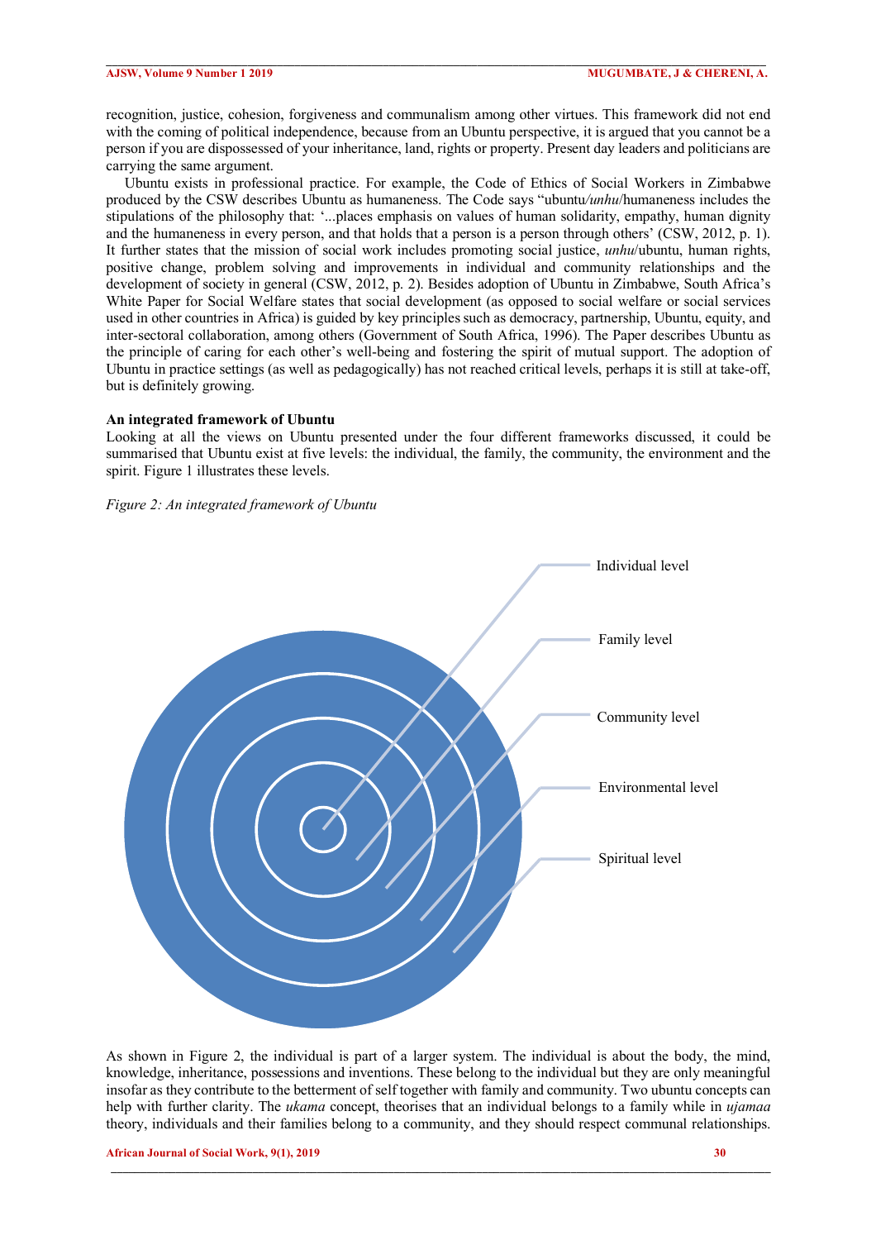recognition, justice, cohesion, forgiveness and communalism among other virtues. This framework did not end with the coming of political independence, because from an Ubuntu perspective, it is argued that you cannot be a person if you are dispossessed of your inheritance, land, rights or property. Present day leaders and politicians are carrying the same argument.

 $\mathcal{L} = \{ \mathcal{L} = \{ \mathcal{L} = \{ \mathcal{L} = \{ \mathcal{L} = \{ \mathcal{L} = \{ \mathcal{L} = \{ \mathcal{L} = \{ \mathcal{L} = \{ \mathcal{L} = \{ \mathcal{L} = \{ \mathcal{L} = \{ \mathcal{L} = \{ \mathcal{L} = \{ \mathcal{L} = \{ \mathcal{L} = \{ \mathcal{L} = \{ \mathcal{L} = \{ \mathcal{L} = \{ \mathcal{L} = \{ \mathcal{L} = \{ \mathcal{L} = \{ \mathcal{L} = \{ \mathcal{L} = \{ \mathcal{$ 

 Ubuntu exists in professional practice. For example, the Code of Ethics of Social Workers in Zimbabwe produced by the CSW describes Ubuntu as humaneness. The Code says "ubuntu*/unhu*/humaneness includes the stipulations of the philosophy that: '...places emphasis on values of human solidarity, empathy, human dignity and the humaneness in every person, and that holds that a person is a person through others' (CSW, 2012, p. 1). It further states that the mission of social work includes promoting social justice, *unhu*/ubuntu, human rights, positive change, problem solving and improvements in individual and community relationships and the development of society in general (CSW, 2012, p. 2). Besides adoption of Ubuntu in Zimbabwe, South Africa's White Paper for Social Welfare states that social development (as opposed to social welfare or social services used in other countries in Africa) is guided by key principles such as democracy, partnership, Ubuntu, equity, and inter-sectoral collaboration, among others (Government of South Africa, 1996). The Paper describes Ubuntu as the principle of caring for each other's well-being and fostering the spirit of mutual support. The adoption of Ubuntu in practice settings (as well as pedagogically) has not reached critical levels, perhaps it is still at take-off, but is definitely growing.

### **An integrated framework of Ubuntu**

Looking at all the views on Ubuntu presented under the four different frameworks discussed, it could be summarised that Ubuntu exist at five levels: the individual, the family, the community, the environment and the spirit. Figure 1 illustrates these levels.

### *Figure 2: An integrated framework of Ubuntu*



As shown in Figure 2, the individual is part of a larger system. The individual is about the body, the mind, knowledge, inheritance, possessions and inventions. These belong to the individual but they are only meaningful insofar as they contribute to the betterment of self together with family and community. Two ubuntu concepts can help with further clarity. The *ukama* concept, theorises that an individual belongs to a family while in *ujamaa* theory, individuals and their families belong to a community, and they should respect communal relationships.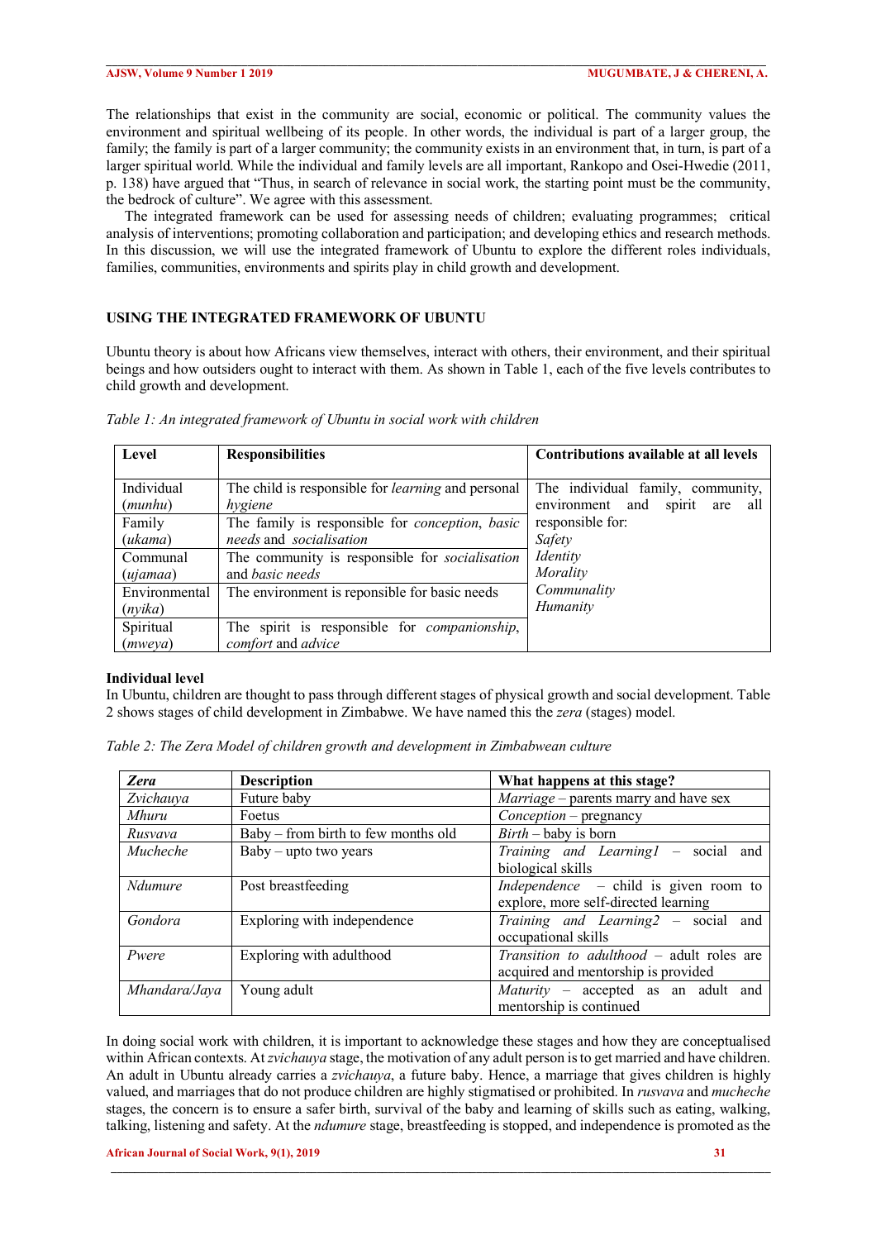The relationships that exist in the community are social, economic or political. The community values the environment and spiritual wellbeing of its people. In other words, the individual is part of a larger group, the family; the family is part of a larger community; the community exists in an environment that, in turn, is part of a larger spiritual world. While the individual and family levels are all important, Rankopo and Osei-Hwedie (2011, p. 138) have argued that "Thus, in search of relevance in social work, the starting point must be the community, the bedrock of culture". We agree with this assessment.

 $\mathcal{L} = \{ \mathcal{L} = \{ \mathcal{L} = \{ \mathcal{L} = \{ \mathcal{L} = \{ \mathcal{L} = \{ \mathcal{L} = \{ \mathcal{L} = \{ \mathcal{L} = \{ \mathcal{L} = \{ \mathcal{L} = \{ \mathcal{L} = \{ \mathcal{L} = \{ \mathcal{L} = \{ \mathcal{L} = \{ \mathcal{L} = \{ \mathcal{L} = \{ \mathcal{L} = \{ \mathcal{L} = \{ \mathcal{L} = \{ \mathcal{L} = \{ \mathcal{L} = \{ \mathcal{L} = \{ \mathcal{L} = \{ \mathcal{$ 

 The integrated framework can be used for assessing needs of children; evaluating programmes; critical analysis of interventions; promoting collaboration and participation; and developing ethics and research methods. In this discussion, we will use the integrated framework of Ubuntu to explore the different roles individuals, families, communities, environments and spirits play in child growth and development.

# **USING THE INTEGRATED FRAMEWORK OF UBUNTU**

Ubuntu theory is about how Africans view themselves, interact with others, their environment, and their spiritual beings and how outsiders ought to interact with them. As shown in Table 1, each of the five levels contributes to child growth and development.

| Level                    | <b>Responsibilities</b>                                                                   | Contributions available at all levels                                        |
|--------------------------|-------------------------------------------------------------------------------------------|------------------------------------------------------------------------------|
| Individual<br>(munhu)    | The child is responsible for <i>learning</i> and personal<br>hygiene                      | The individual family, community,<br>environment and<br>spirit<br>are<br>all |
| Family<br>(ukama)        | The family is responsible for <i>conception</i> , <i>basic</i><br>needs and socialisation | responsible for:<br>Safety                                                   |
| Communal<br>(ujamaa)     | The community is responsible for <i>socialisation</i><br>and <i>basic</i> needs           | Identity<br>Morality                                                         |
| Environmental<br>(nvika) | The environment is reponsible for basic needs                                             | Communality<br><b>Humanity</b>                                               |
| Spiritual<br>(mweva)     | The spirit is responsible for <i>companionship</i> ,<br>comfort and <i>advice</i>         |                                                                              |

*Table 1: An integrated framework of Ubuntu in social work with children*

#### **Individual level**

In Ubuntu, children are thought to pass through different stages of physical growth and social development. Table 2 shows stages of child development in Zimbabwe. We have named this the *zera* (stages) model.

*Table 2: The Zera Model of children growth and development in Zimbabwean culture*

| Zera          | <b>Description</b>                  | What happens at this stage?                                                      |
|---------------|-------------------------------------|----------------------------------------------------------------------------------|
| Zvichauya     | Future baby                         | <i>Marriage</i> – parents marry and have sex                                     |
| Mhuru         | Foetus                              | Conception – pregnancy                                                           |
| Rusyaya       | Baby – from birth to few months old | $Birth$ – baby is born                                                           |
| Mucheche      | $Baby - upto two years$             | Training and Learning1 - social and<br>biological skills                         |
| Ndumure       | Post breastfeeding                  | Independence – child is given room to<br>explore, more self-directed learning    |
| Gondora       | Exploring with independence         | Training and Learning2 - social and<br>occupational skills                       |
| Pwere         | Exploring with adulthood            | Transition to adulthood - adult roles are<br>acquired and mentorship is provided |
| Mhandara/Jaya | Young adult                         | Maturity – accepted as an adult and<br>mentorship is continued                   |

In doing social work with children, it is important to acknowledge these stages and how they are conceptualised within African contexts. At *zvichauya* stage, the motivation of any adult person is to get married and have children. An adult in Ubuntu already carries a *zvichauya*, a future baby. Hence, a marriage that gives children is highly valued, and marriages that do not produce children are highly stigmatised or prohibited. In *rusvava* and *mucheche* stages, the concern is to ensure a safer birth, survival of the baby and learning of skills such as eating, walking, talking, listening and safety. At the *ndumure* stage, breastfeeding is stopped, and independence is promoted as the

### **African Journal of Social Work, 9(1), 2019 31**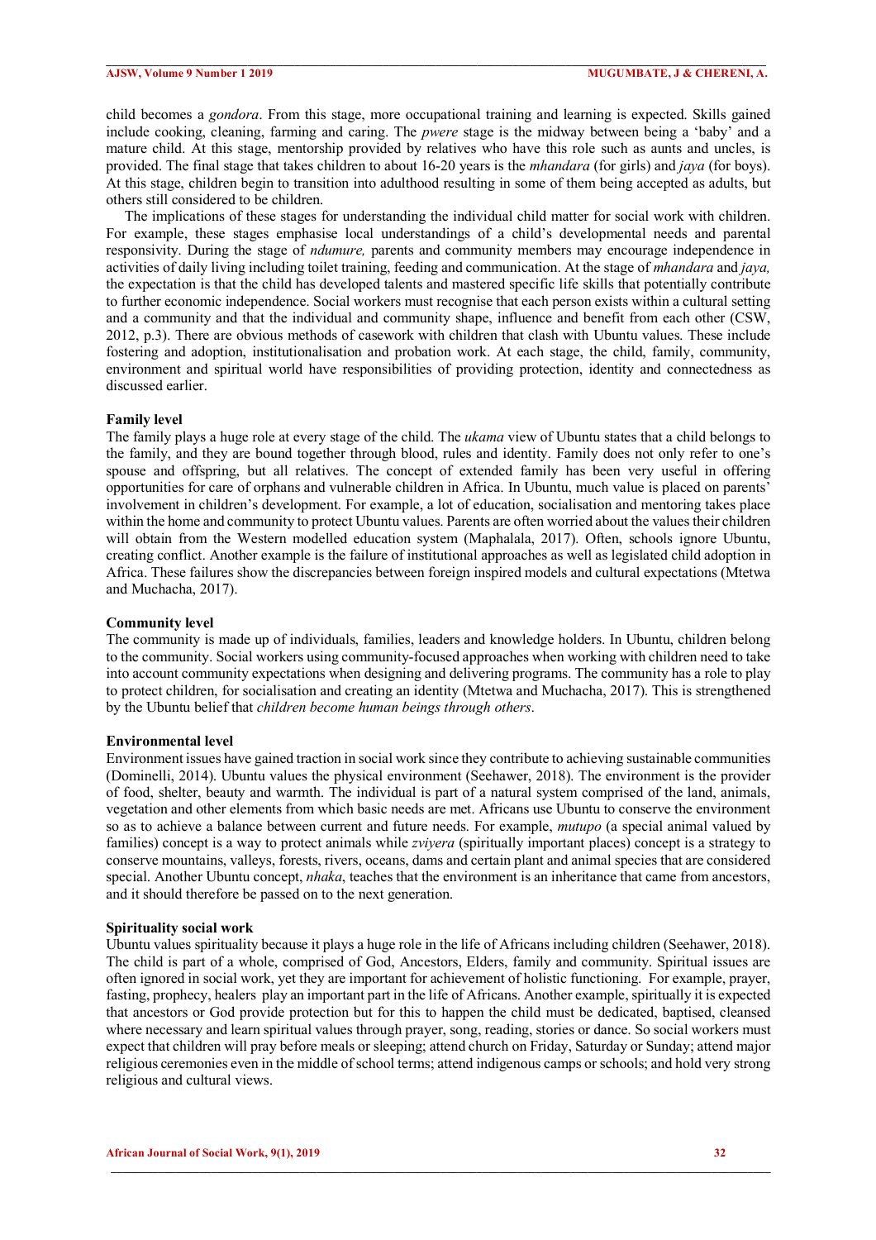child becomes a *gondora*. From this stage, more occupational training and learning is expected. Skills gained include cooking, cleaning, farming and caring. The *pwere* stage is the midway between being a 'baby' and a mature child. At this stage, mentorship provided by relatives who have this role such as aunts and uncles, is provided. The final stage that takes children to about 16-20 years is the *mhandara* (for girls) and *jaya* (for boys). At this stage, children begin to transition into adulthood resulting in some of them being accepted as adults, but others still considered to be children.

 $\mathcal{L} = \{ \mathcal{L} = \{ \mathcal{L} = \{ \mathcal{L} = \{ \mathcal{L} = \{ \mathcal{L} = \{ \mathcal{L} = \{ \mathcal{L} = \{ \mathcal{L} = \{ \mathcal{L} = \{ \mathcal{L} = \{ \mathcal{L} = \{ \mathcal{L} = \{ \mathcal{L} = \{ \mathcal{L} = \{ \mathcal{L} = \{ \mathcal{L} = \{ \mathcal{L} = \{ \mathcal{L} = \{ \mathcal{L} = \{ \mathcal{L} = \{ \mathcal{L} = \{ \mathcal{L} = \{ \mathcal{L} = \{ \mathcal{$ 

 The implications of these stages for understanding the individual child matter for social work with children. For example, these stages emphasise local understandings of a child's developmental needs and parental responsivity. During the stage of *ndumure,* parents and community members may encourage independence in activities of daily living including toilet training, feeding and communication. At the stage of *mhandara* and *jaya,*  the expectation is that the child has developed talents and mastered specific life skills that potentially contribute to further economic independence. Social workers must recognise that each person exists within a cultural setting and a community and that the individual and community shape, influence and benefit from each other (CSW, 2012, p.3). There are obvious methods of casework with children that clash with Ubuntu values. These include fostering and adoption, institutionalisation and probation work. At each stage, the child, family, community, environment and spiritual world have responsibilities of providing protection, identity and connectedness as discussed earlier.

# **Family level**

The family plays a huge role at every stage of the child. The *ukama* view of Ubuntu states that a child belongs to the family, and they are bound together through blood, rules and identity. Family does not only refer to one's spouse and offspring, but all relatives. The concept of extended family has been very useful in offering opportunities for care of orphans and vulnerable children in Africa. In Ubuntu, much value is placed on parents' involvement in children's development. For example, a lot of education, socialisation and mentoring takes place within the home and community to protect Ubuntu values. Parents are often worried about the values their children will obtain from the Western modelled education system (Maphalala, 2017). Often, schools ignore Ubuntu, creating conflict. Another example is the failure of institutional approaches as well as legislated child adoption in Africa. These failures show the discrepancies between foreign inspired models and cultural expectations (Mtetwa and Muchacha, 2017).

#### **Community level**

The community is made up of individuals, families, leaders and knowledge holders. In Ubuntu, children belong to the community. Social workers using community-focused approaches when working with children need to take into account community expectations when designing and delivering programs. The community has a role to play to protect children, for socialisation and creating an identity (Mtetwa and Muchacha, 2017). This is strengthened by the Ubuntu belief that *children become human beings through others*.

#### **Environmental level**

Environment issues have gained traction in social work since they contribute to achieving sustainable communities (Dominelli, 2014). Ubuntu values the physical environment (Seehawer, 2018). The environment is the provider of food, shelter, beauty and warmth. The individual is part of a natural system comprised of the land, animals, vegetation and other elements from which basic needs are met. Africans use Ubuntu to conserve the environment so as to achieve a balance between current and future needs. For example, *mutupo* (a special animal valued by families) concept is a way to protect animals while *zviyera* (spiritually important places) concept is a strategy to conserve mountains, valleys, forests, rivers, oceans, dams and certain plant and animal species that are considered special. Another Ubuntu concept, *nhaka*, teaches that the environment is an inheritance that came from ancestors, and it should therefore be passed on to the next generation.

#### **Spirituality social work**

Ubuntu values spirituality because it plays a huge role in the life of Africans including children (Seehawer, 2018). The child is part of a whole, comprised of God, Ancestors, Elders, family and community. Spiritual issues are often ignored in social work, yet they are important for achievement of holistic functioning. For example, prayer, fasting, prophecy, healers play an important part in the life of Africans. Another example, spiritually it is expected that ancestors or God provide protection but for this to happen the child must be dedicated, baptised, cleansed where necessary and learn spiritual values through prayer, song, reading, stories or dance. So social workers must expect that children will pray before meals or sleeping; attend church on Friday, Saturday or Sunday; attend major religious ceremonies even in the middle of school terms; attend indigenous camps or schools; and hold very strong religious and cultural views.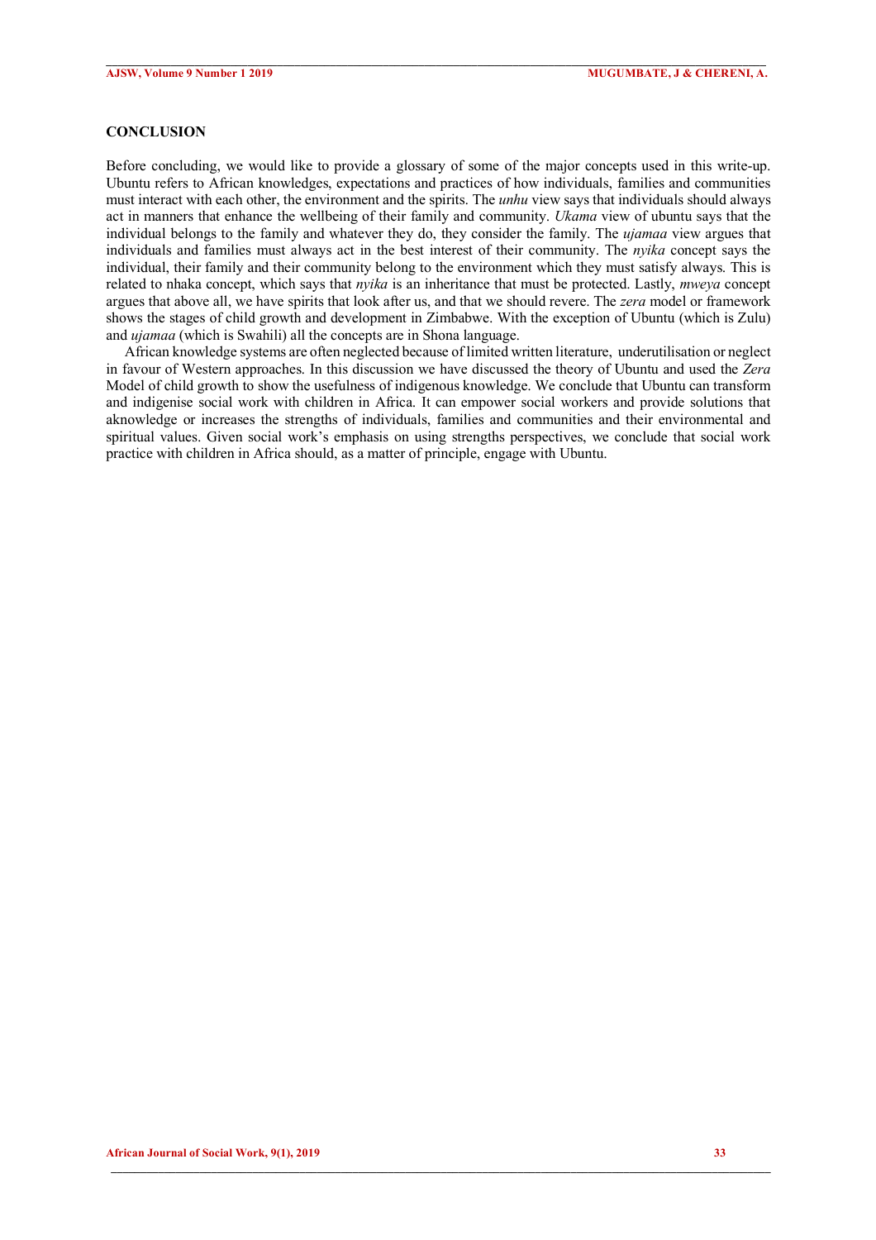## **CONCLUSION**

Before concluding, we would like to provide a glossary of some of the major concepts used in this write-up. Ubuntu refers to African knowledges, expectations and practices of how individuals, families and communities must interact with each other, the environment and the spirits. The *unhu* view says that individuals should always act in manners that enhance the wellbeing of their family and community. *Ukama* view of ubuntu says that the individual belongs to the family and whatever they do, they consider the family. The *ujamaa* view argues that individuals and families must always act in the best interest of their community. The *nyika* concept says the individual, their family and their community belong to the environment which they must satisfy always. This is related to nhaka concept, which says that *nyika* is an inheritance that must be protected. Lastly, *mweya* concept argues that above all, we have spirits that look after us, and that we should revere. The *zera* model or framework shows the stages of child growth and development in Zimbabwe. With the exception of Ubuntu (which is Zulu) and *ujamaa* (which is Swahili) all the concepts are in Shona language.

 $\mathcal{L} = \{ \mathcal{L} = \{ \mathcal{L} = \{ \mathcal{L} = \{ \mathcal{L} = \{ \mathcal{L} = \{ \mathcal{L} = \{ \mathcal{L} = \{ \mathcal{L} = \{ \mathcal{L} = \{ \mathcal{L} = \{ \mathcal{L} = \{ \mathcal{L} = \{ \mathcal{L} = \{ \mathcal{L} = \{ \mathcal{L} = \{ \mathcal{L} = \{ \mathcal{L} = \{ \mathcal{L} = \{ \mathcal{L} = \{ \mathcal{L} = \{ \mathcal{L} = \{ \mathcal{L} = \{ \mathcal{L} = \{ \mathcal{$ 

 African knowledge systems are often neglected because of limited written literature, underutilisation or neglect in favour of Western approaches. In this discussion we have discussed the theory of Ubuntu and used the *Zera* Model of child growth to show the usefulness of indigenous knowledge. We conclude that Ubuntu can transform and indigenise social work with children in Africa. It can empower social workers and provide solutions that aknowledge or increases the strengths of individuals, families and communities and their environmental and spiritual values. Given social work's emphasis on using strengths perspectives, we conclude that social work practice with children in Africa should, as a matter of principle, engage with Ubuntu.